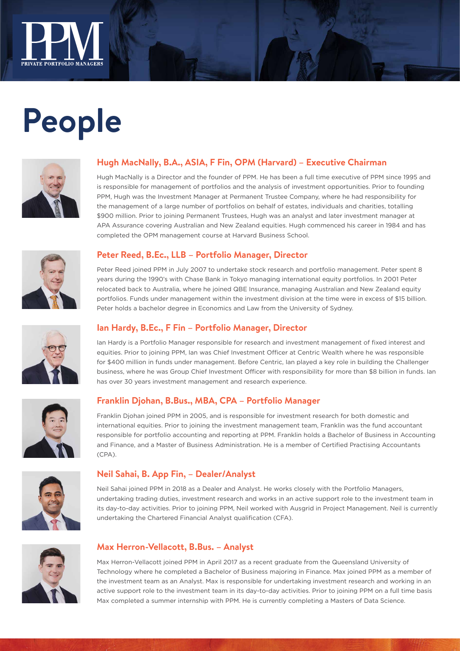

# **People**



#### **Hugh MacNally, B.A., ASIA, F Fin, OPM (Harvard) – Executive Chairman**

Hugh MacNally is a Director and the founder of PPM. He has been a full time executive of PPM since 1995 and is responsible for management of portfolios and the analysis of investment opportunities. Prior to founding PPM, Hugh was the Investment Manager at Permanent Trustee Company, where he had responsibility for the management of a large number of portfolios on behalf of estates, individuals and charities, totalling \$900 million. Prior to joining Permanent Trustees, Hugh was an analyst and later investment manager at APA Assurance covering Australian and New Zealand equities. Hugh commenced his career in 1984 and has completed the OPM management course at Harvard Business School.



#### **Peter Reed, B.Ec., LLB – Portfolio Manager, Director**

Peter Reed joined PPM in July 2007 to undertake stock research and portfolio management. Peter spent 8 years during the 1990's with Chase Bank in Tokyo managing international equity portfolios. In 2001 Peter relocated back to Australia, where he joined QBE Insurance, managing Australian and New Zealand equity portfolios. Funds under management within the investment division at the time were in excess of \$15 billion. Peter holds a bachelor degree in Economics and Law from the University of Sydney.







Ian Hardy is a Portfolio Manager responsible for research and investment management of fixed interest and equities. Prior to joining PPM, Ian was Chief Investment Officer at Centric Wealth where he was responsible for \$400 million in funds under management. Before Centric, Ian played a key role in building the Challenger business, where he was Group Chief Investment Officer with responsibility for more than \$8 billion in funds. Ian has over 30 years investment management and research experience.

#### **Franklin Djohan, B.Bus., MBA, CPA – Portfolio Manager**

Franklin Djohan joined PPM in 2005, and is responsible for investment research for both domestic and international equities. Prior to joining the investment management team, Franklin was the fund accountant responsible for portfolio accounting and reporting at PPM. Franklin holds a Bachelor of Business in Accounting and Finance, and a Master of Business Administration. He is a member of Certified Practising Accountants (CPA).



#### **Neil Sahai, B. App Fin, – Dealer/Analyst**

Neil Sahai joined PPM in 2018 as a Dealer and Analyst. He works closely with the Portfolio Managers, undertaking trading duties, investment research and works in an active support role to the investment team in its day-to-day activities. Prior to joining PPM, Neil worked with Ausgrid in Project Management. Neil is currently undertaking the Chartered Financial Analyst qualification (CFA).



#### **Max Herron-Vellacott, B.Bus. – Analyst**

Max Herron-Vellacott joined PPM in April 2017 as a recent graduate from the Queensland University of Technology where he completed a Bachelor of Business majoring in Finance. Max joined PPM as a member of the investment team as an Analyst. Max is responsible for undertaking investment research and working in an active support role to the investment team in its day-to-day activities. Prior to joining PPM on a full time basis Max completed a summer internship with PPM. He is currently completing a Masters of Data Science.